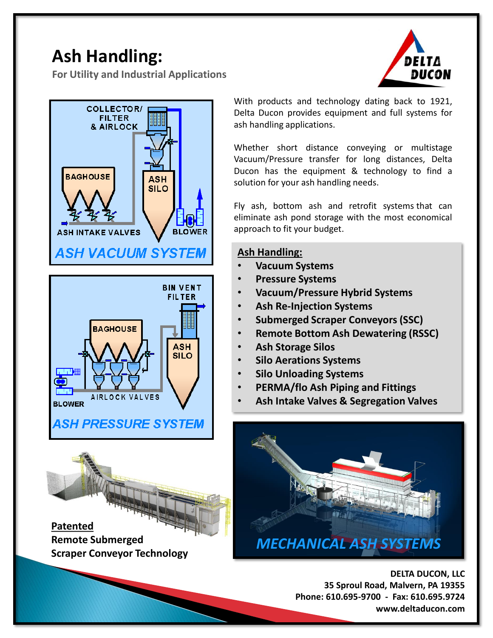## **Ash Handling:**

**For Utility and Industrial Applications**





With products and technology dating back to 1921, Delta Ducon provides equipment and full systems for ash handling applications.

Whether short distance conveying or multistage Vacuum/Pressure transfer for long distances, Delta Ducon has the equipment & technology to find a solution for your ash handling needs.

Fly ash, bottom ash and retrofit systems that can eliminate ash pond storage with the most economical approach to fit your budget.

## **Ash Handling:**

- **Vacuum Systems**
- **Pressure Systems**
- **Vacuum/Pressure Hybrid Systems**
- **Ash Re-Injection Systems**
- **Submerged Scraper Conveyors (SSC)**
- **Remote Bottom Ash Dewatering (RSSC)**
- **Ash Storage Silos**
- **Silo Aerations Systems**
- **Silo Unloading Systems**
- **PERMA/flo Ash Piping and Fittings**
- **Ash Intake Valves & Segregation Valves**



**DELTA DUCON, LLC 35 Sproul Road, Malvern, PA 19355 Phone: 610.695-9700 - Fax: 610.695.9724 www.deltaducon.com**